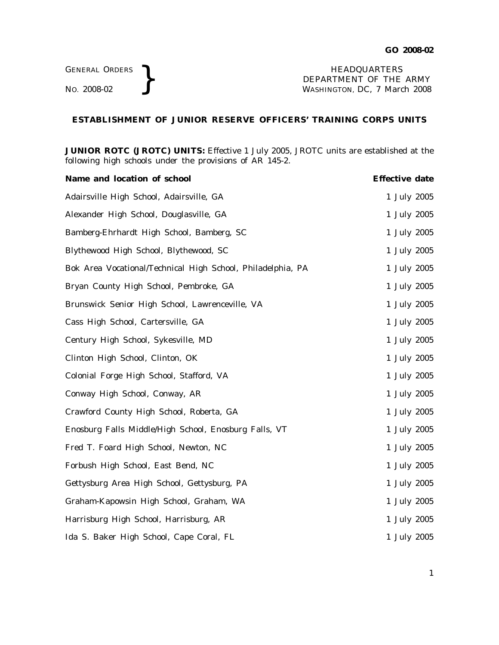GENERAL ORDERS **}**<br>No. 2008-02 **}**<br>No. 2008-02 **}**<br>NASHINGTON, DC, 7 March DEPARTMENT OF THE ARMY WASHINGTON, DC, *7 March 2008*

## **ESTABLISHMENT OF JUNIOR RESERVE OFFICERS' TRAINING CORPS UNITS**

**JUNIOR ROTC (JROTC) UNITS:** Effective 1 July 2005, JROTC units are established at the following high schools under the provisions of AR 145-2.

| Name and location of school                                 | <b>Effective date</b> |
|-------------------------------------------------------------|-----------------------|
| Adairsville High School, Adairsville, GA                    | 1 July 2005           |
| Alexander High School, Douglasville, GA                     | 1 July 2005           |
| Bamberg-Ehrhardt High School, Bamberg, SC                   | 1 July 2005           |
| Blythewood High School, Blythewood, SC                      | 1 July 2005           |
| Bok Area Vocational/Technical High School, Philadelphia, PA | 1 July 2005           |
| Bryan County High School, Pembroke, GA                      | 1 July 2005           |
| Brunswick Senior High School, Lawrenceville, VA             | 1 July 2005           |
| Cass High School, Cartersville, GA                          | 1 July 2005           |
| Century High School, Sykesville, MD                         | 1 July 2005           |
| Clinton High School, Clinton, OK                            | 1 July 2005           |
| Colonial Forge High School, Stafford, VA                    | 1 July 2005           |
| Conway High School, Conway, AR                              | 1 July 2005           |
| Crawford County High School, Roberta, GA                    | 1 July 2005           |
| Enosburg Falls Middle/High School, Enosburg Falls, VT       | 1 July 2005           |
| Fred T. Foard High School, Newton, NC                       | 1 July 2005           |
| Forbush High School, East Bend, NC                          | 1 July 2005           |
| Gettysburg Area High School, Gettysburg, PA                 | 1 July 2005           |
| Graham-Kapowsin High School, Graham, WA                     | 1 July 2005           |
| Harrisburg High School, Harrisburg, AR                      | 1 July 2005           |
| Ida S. Baker High School, Cape Coral, FL                    | 1 July 2005           |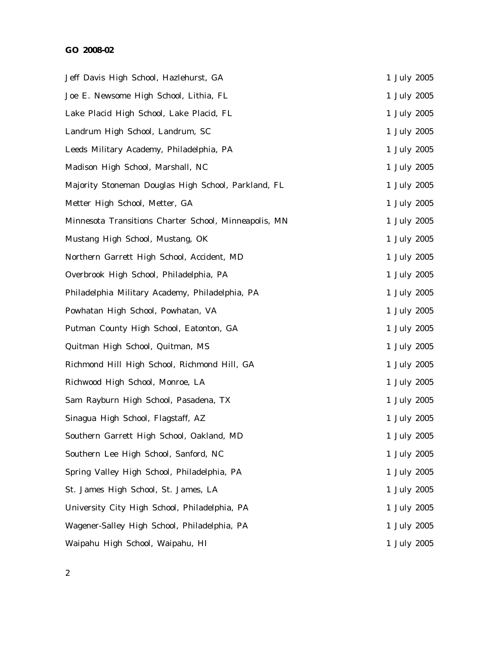## **GO 2008-02**

| Jeff Davis High School, Hazlehurst, GA                |  | 1 July 2005 |
|-------------------------------------------------------|--|-------------|
| Joe E. Newsome High School, Lithia, FL                |  | 1 July 2005 |
| Lake Placid High School, Lake Placid, FL              |  | 1 July 2005 |
| Landrum High School, Landrum, SC                      |  | 1 July 2005 |
| Leeds Military Academy, Philadelphia, PA              |  | 1 July 2005 |
| Madison High School, Marshall, NC                     |  | 1 July 2005 |
| Majority Stoneman Douglas High School, Parkland, FL   |  | 1 July 2005 |
| Metter High School, Metter, GA                        |  | 1 July 2005 |
| Minnesota Transitions Charter School, Minneapolis, MN |  | 1 July 2005 |
| Mustang High School, Mustang, OK                      |  | 1 July 2005 |
| Northern Garrett High School, Accident, MD            |  | 1 July 2005 |
| Overbrook High School, Philadelphia, PA               |  | 1 July 2005 |
| Philadelphia Military Academy, Philadelphia, PA       |  | 1 July 2005 |
| Powhatan High School, Powhatan, VA                    |  | 1 July 2005 |
| Putman County High School, Eatonton, GA               |  | 1 July 2005 |
| Quitman High School, Quitman, MS                      |  | 1 July 2005 |
| Richmond Hill High School, Richmond Hill, GA          |  | 1 July 2005 |
| Richwood High School, Monroe, LA                      |  | 1 July 2005 |
| Sam Rayburn High School, Pasadena, TX                 |  | 1 July 2005 |
| Sinagua High School, Flagstaff, AZ                    |  | 1 July 2005 |
| Southern Garrett High School, Oakland, MD             |  | 1 July 2005 |
| Southern Lee High School, Sanford, NC                 |  | 1 July 2005 |
| Spring Valley High School, Philadelphia, PA           |  | 1 July 2005 |
| St. James High School, St. James, LA                  |  | 1 July 2005 |
| University City High School, Philadelphia, PA         |  | 1 July 2005 |
| Wagener-Salley High School, Philadelphia, PA          |  | 1 July 2005 |
| Waipahu High School, Waipahu, HI                      |  | 1 July 2005 |